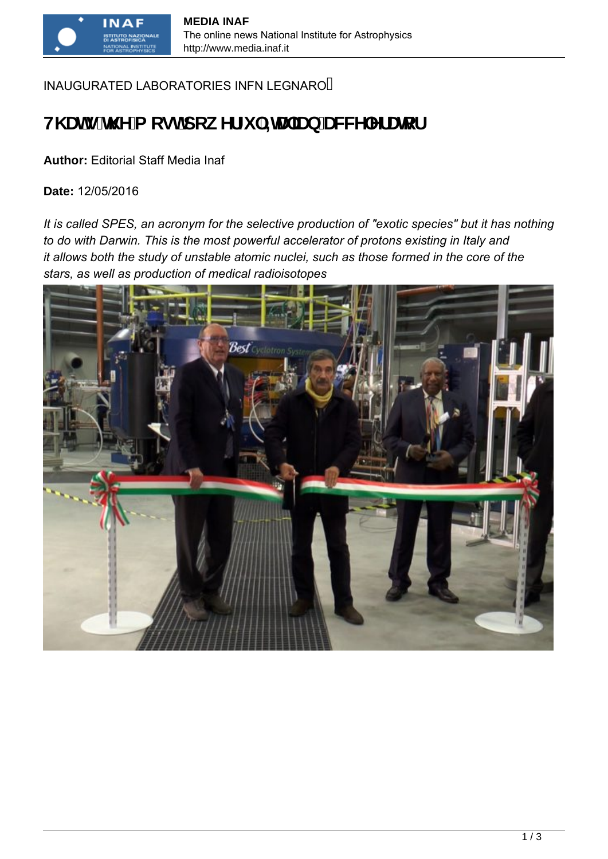## INAUGURATED LABORATORIES INFN LEGNARO

# **H\ Ung h\ Y a cghdck YfZ ` =HJ ]Ub UWWY YfUrcf**

#### **Author:** Editorial Staff Media Inaf

**Date:** 12/05/2016

*It is called SPES, an acronym for the selective production of "exotic species" but it has nothing to do with Darwin. This is the most powerful accelerator of protons existing in Italy and it allows both the study of unstable atomic nuclei, such as those formed in the core of the stars, as well as production of medical radioisotopes*

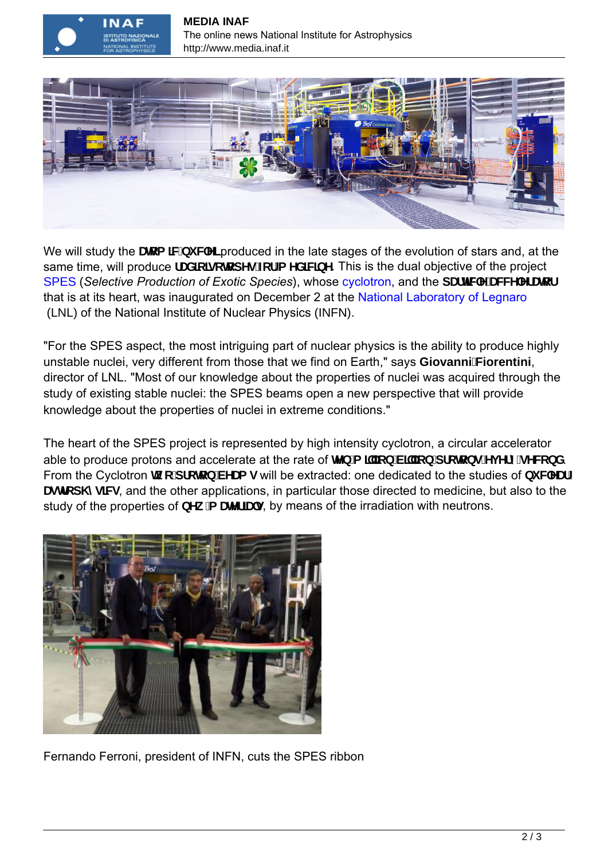



We will study the **Urea JWbi WY** produced in the late stages of the evolution of stars and, at the same time, will produce **f UXIc lgc hcd Yg Zef a YXIWDY**. This is the dual objective of the project [SPES](https://web.infn.it/spes/) (*Selective Production of Exotic Species*), whose c[yclotro](https://it.wikipedia.org/wiki/Ciclotrone)n, and the **dUfHWY UWWY YfUrcf** that is at its heart, was inaugurated on December 2 at the National [Laboratory of Legnaro](http://www.lnl.infn.it/index.php/it/)   [\(LNL\)](http://www.lnl.infn.it/index.php/it/) of the National Institute of Nuclear Physics (INFN).

"For the SPES aspect, the most intriguing part of nuclear physics is the ability to produce highly unstable nuclei, very different from those that we find on Earth," says **GiovanniFiorentini**, director of LNL. "Most of our knowledge about the properties of nuclei was acquired through the study of existing stable nuclei: the SPES beams open a new perspective that will provide knowledge about the properties of nuclei in extreme conditions."

The heart of the SPES project is represented by high intensity cyclotron, a circular accelerator able to produce protons and accelerate at the rate of **HYb** a **j**'lcb'V**j**'cb'dfchcbg'Yj YfmgYVtbX. From the Cyclotron **K c dfclcb VYUa g** will be extracted: one dedicated to the studies of **bi WYUF** Uglical my W<sub>9</sub>, and the other applications, in particular those directed to medicine, but also to the study of the properties of **bYk 'a UMfJUg**, by means of the irradiation with neutrons.



Fernando Ferroni, president of INFN, cuts the SPES ribbon